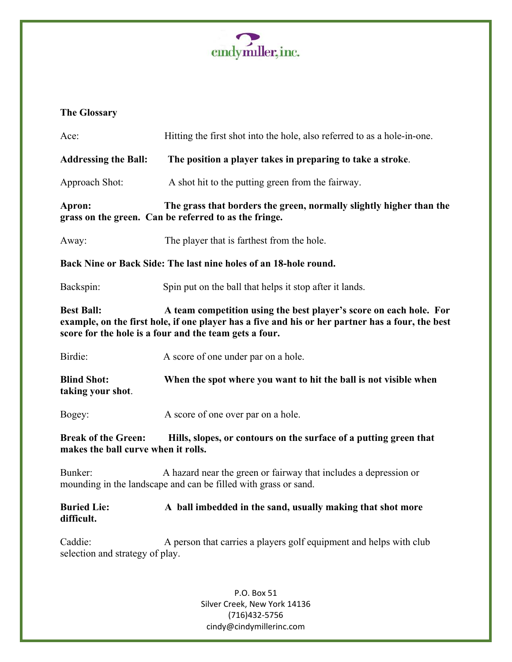

## **The Glossary**

| Hitting the first shot into the hole, also referred to as a hole-in-one.                                                                                                                                                                              |  |  |
|-------------------------------------------------------------------------------------------------------------------------------------------------------------------------------------------------------------------------------------------------------|--|--|
| The position a player takes in preparing to take a stroke.                                                                                                                                                                                            |  |  |
| A shot hit to the putting green from the fairway.                                                                                                                                                                                                     |  |  |
| The grass that borders the green, normally slightly higher than the<br>grass on the green. Can be referred to as the fringe.                                                                                                                          |  |  |
| The player that is farthest from the hole.                                                                                                                                                                                                            |  |  |
| Back Nine or Back Side: The last nine holes of an 18-hole round.                                                                                                                                                                                      |  |  |
| Spin put on the ball that helps it stop after it lands.                                                                                                                                                                                               |  |  |
| <b>Best Ball:</b><br>A team competition using the best player's score on each hole. For<br>example, on the first hole, if one player has a five and his or her partner has a four, the best<br>score for the hole is a four and the team gets a four. |  |  |
| A score of one under par on a hole.                                                                                                                                                                                                                   |  |  |
| When the spot where you want to hit the ball is not visible when                                                                                                                                                                                      |  |  |
| A score of one over par on a hole.                                                                                                                                                                                                                    |  |  |
| Hills, slopes, or contours on the surface of a putting green that<br>makes the ball curve when it rolls.                                                                                                                                              |  |  |
| A hazard near the green or fairway that includes a depression or<br>mounding in the landscape and can be filled with grass or sand.                                                                                                                   |  |  |
| A ball imbedded in the sand, usually making that shot more                                                                                                                                                                                            |  |  |
| A person that carries a players golf equipment and helps with club<br>selection and strategy of play.                                                                                                                                                 |  |  |
| P.O. Box 51                                                                                                                                                                                                                                           |  |  |
|                                                                                                                                                                                                                                                       |  |  |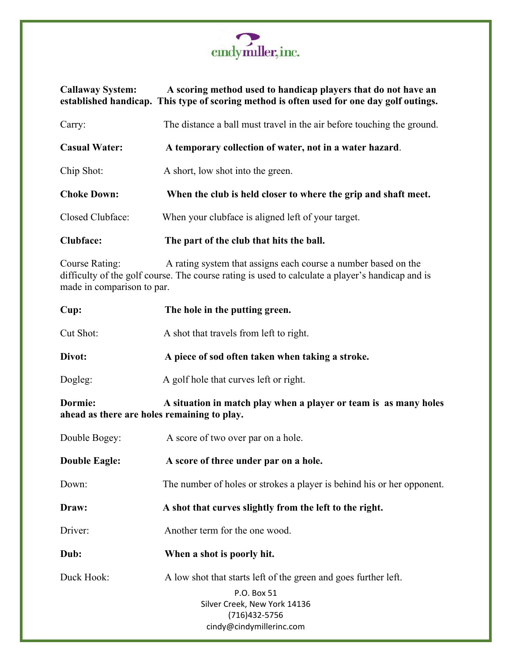

## **Callaway System: A scoring method used to handicap players that do not have an established handicap. This type of scoring method is often used for one day golf outings.** Carry: The distance a ball must travel in the air before touching the ground. **Casual Water: A temporary collection of water, not in a water hazard**.

Chip Shot: A short, low shot into the green.

| <b>Choke Down:</b> | When the club is held closer to where the grip and shaft meet. |
|--------------------|----------------------------------------------------------------|
|                    |                                                                |

Closed Clubface:When your clubface is aligned left of your target.

**Clubface: The part of the club that hits the ball.**

Course Rating: A rating system that assigns each course a number based on the difficulty of the golf course. The course rating is used to calculate a player's handicap and is made in comparison to par.

| Cup:                                                                                                                       | The hole in the putting green.                                                                                                                               |
|----------------------------------------------------------------------------------------------------------------------------|--------------------------------------------------------------------------------------------------------------------------------------------------------------|
| Cut Shot:                                                                                                                  | A shot that travels from left to right.                                                                                                                      |
| Divot:                                                                                                                     | A piece of sod often taken when taking a stroke.                                                                                                             |
| Dogleg:                                                                                                                    | A golf hole that curves left or right.                                                                                                                       |
| Dormie:<br>A situation in match play when a player or team is as many holes<br>ahead as there are holes remaining to play. |                                                                                                                                                              |
| Double Bogey:                                                                                                              | A score of two over par on a hole.                                                                                                                           |
| <b>Double Eagle:</b>                                                                                                       | A score of three under par on a hole.                                                                                                                        |
| Down:                                                                                                                      | The number of holes or strokes a player is behind his or her opponent.                                                                                       |
| Draw:                                                                                                                      | A shot that curves slightly from the left to the right.                                                                                                      |
| Driver:                                                                                                                    | Another term for the one wood.                                                                                                                               |
| Dub:                                                                                                                       | When a shot is poorly hit.                                                                                                                                   |
| Duck Hook:                                                                                                                 | A low shot that starts left of the green and goes further left.<br>P.O. Box 51<br>Silver Creek, New York 14136<br>(716) 432-5756<br>cindy@cindymillerinc.com |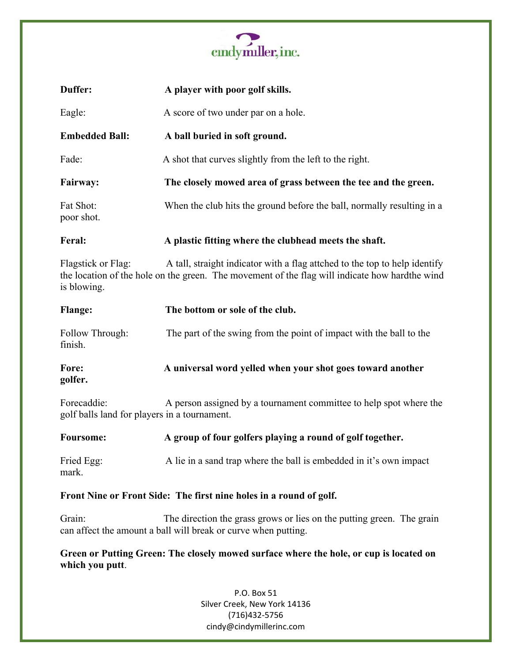

| Duffer:                                                                                                   | A player with poor golf skills.                                                                                                                                               |  |
|-----------------------------------------------------------------------------------------------------------|-------------------------------------------------------------------------------------------------------------------------------------------------------------------------------|--|
| Eagle:                                                                                                    | A score of two under par on a hole.                                                                                                                                           |  |
| <b>Embedded Ball:</b>                                                                                     | A ball buried in soft ground.                                                                                                                                                 |  |
| Fade:                                                                                                     | A shot that curves slightly from the left to the right.                                                                                                                       |  |
| <b>Fairway:</b>                                                                                           | The closely mowed area of grass between the tee and the green.                                                                                                                |  |
| Fat Shot:<br>poor shot.                                                                                   | When the club hits the ground before the ball, normally resulting in a                                                                                                        |  |
| Feral:                                                                                                    | A plastic fitting where the clubhead meets the shaft.                                                                                                                         |  |
| Flagstick or Flag:<br>is blowing.                                                                         | A tall, straight indicator with a flag attched to the top to help identify<br>the location of the hole on the green. The movement of the flag will indicate how hard the wind |  |
| <b>Flange:</b>                                                                                            | The bottom or sole of the club.                                                                                                                                               |  |
| Follow Through:<br>finish.                                                                                | The part of the swing from the point of impact with the ball to the                                                                                                           |  |
| Fore:<br>golfer.                                                                                          | A universal word yelled when your shot goes toward another                                                                                                                    |  |
| Forecaddie:<br>golf balls land for players in a tournament.                                               | A person assigned by a tournament committee to help spot where the                                                                                                            |  |
| <b>Foursome:</b>                                                                                          | A group of four golfers playing a round of golf together.                                                                                                                     |  |
| Fried Egg:<br>mark.                                                                                       | A lie in a sand trap where the ball is embedded in it's own impact                                                                                                            |  |
| Front Nine or Front Side: The first nine holes in a round of golf.                                        |                                                                                                                                                                               |  |
| Grain:                                                                                                    | The direction the grass grows or lies on the putting green. The grain<br>can affect the amount a ball will break or curve when putting.                                       |  |
| Green or Putting Green: The closely mowed surface where the hole, or cup is located on<br>which you putt. |                                                                                                                                                                               |  |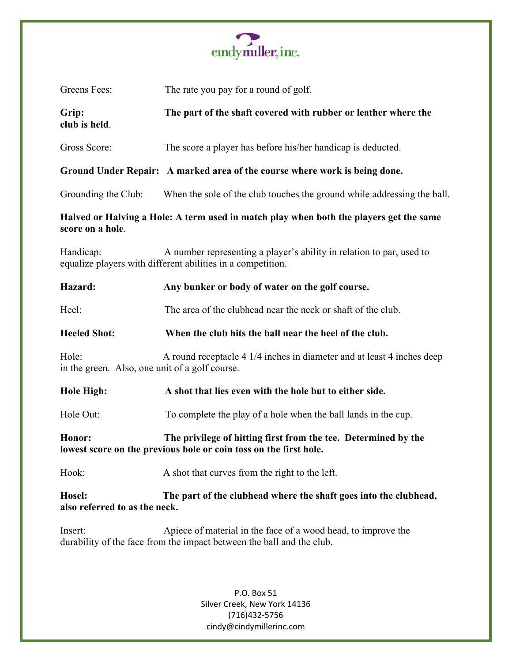

| Greens Fees:                                                                                                                                     | The rate you pay for a round of golf.                                                                                                  |  |
|--------------------------------------------------------------------------------------------------------------------------------------------------|----------------------------------------------------------------------------------------------------------------------------------------|--|
| Grip:<br>club is held.                                                                                                                           | The part of the shaft covered with rubber or leather where the                                                                         |  |
| Gross Score:                                                                                                                                     | The score a player has before his/her handicap is deducted.                                                                            |  |
|                                                                                                                                                  | Ground Under Repair: A marked area of the course where work is being done.                                                             |  |
| Grounding the Club:                                                                                                                              | When the sole of the club touches the ground while addressing the ball.                                                                |  |
| Halved or Halving a Hole: A term used in match play when both the players get the same<br>score on a hole.                                       |                                                                                                                                        |  |
| Handicap:<br>A number representing a player's ability in relation to par, used to<br>equalize players with different abilities in a competition. |                                                                                                                                        |  |
| Hazard:                                                                                                                                          | Any bunker or body of water on the golf course.                                                                                        |  |
| Heel:                                                                                                                                            | The area of the clubhead near the neck or shaft of the club.                                                                           |  |
| <b>Heeled Shot:</b>                                                                                                                              | When the club hits the ball near the heel of the club.                                                                                 |  |
| Hole:<br>in the green. Also, one unit of a golf course.                                                                                          | A round receptacle 4 1/4 inches in diameter and at least 4 inches deep                                                                 |  |
| <b>Hole High:</b>                                                                                                                                | A shot that lies even with the hole but to either side.                                                                                |  |
| Hole Out:                                                                                                                                        | To complete the play of a hole when the ball lands in the cup.                                                                         |  |
| The privilege of hitting first from the tee. Determined by the<br>Honor:<br>lowest score on the previous hole or coin toss on the first hole.    |                                                                                                                                        |  |
| Hook:                                                                                                                                            | A shot that curves from the right to the left.                                                                                         |  |
| Hosel:<br>also referred to as the neck.                                                                                                          | The part of the clubhead where the shaft goes into the clubhead,                                                                       |  |
| Insert:                                                                                                                                          | Apiece of material in the face of a wood head, to improve the<br>durability of the face from the impact between the ball and the club. |  |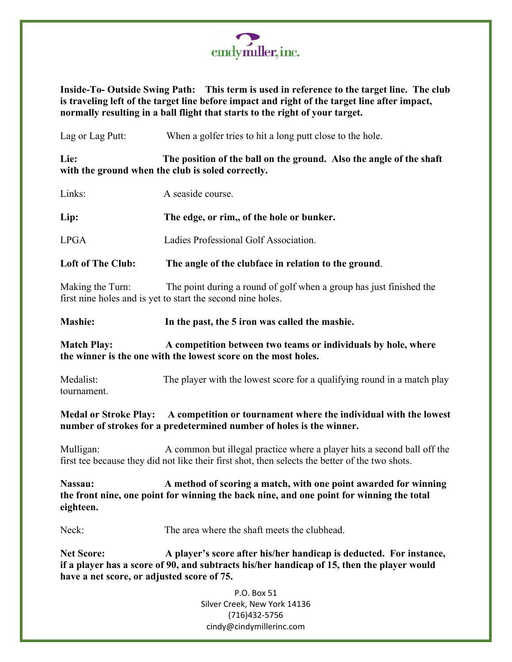

**Inside-To- Outside Swing Path: This term is used in reference to the target line. The club is traveling left of the target line before impact and right of the target line after impact, normally resulting in a ball flight that starts to the right of your target.**

| Lag or Lag Putt:                                                                                                                                               | When a golfer tries to hit a long putt close to the hole.                                                                                                                  |  |
|----------------------------------------------------------------------------------------------------------------------------------------------------------------|----------------------------------------------------------------------------------------------------------------------------------------------------------------------------|--|
| The position of the ball on the ground. Also the angle of the shaft<br>Lie:<br>with the ground when the club is soled correctly.                               |                                                                                                                                                                            |  |
| Links:                                                                                                                                                         | A seaside course.                                                                                                                                                          |  |
| Lip:                                                                                                                                                           | The edge, or rim,, of the hole or bunker.                                                                                                                                  |  |
| <b>LPGA</b>                                                                                                                                                    | Ladies Professional Golf Association.                                                                                                                                      |  |
| <b>Loft of The Club:</b>                                                                                                                                       | The angle of the clubface in relation to the ground.                                                                                                                       |  |
| Making the Turn:                                                                                                                                               | The point during a round of golf when a group has just finished the<br>first nine holes and is yet to start the second nine holes.                                         |  |
| Mashie:                                                                                                                                                        | In the past, the 5 iron was called the mashie.                                                                                                                             |  |
| <b>Match Play:</b><br>A competition between two teams or individuals by hole, where<br>the winner is the one with the lowest score on the most holes.          |                                                                                                                                                                            |  |
| Medalist:<br>tournament.                                                                                                                                       | The player with the lowest score for a qualifying round in a match play                                                                                                    |  |
| Medal or Stroke Play: A competition or tournament where the individual with the lowest<br>number of strokes for a predetermined number of holes is the winner. |                                                                                                                                                                            |  |
| Mulligan:                                                                                                                                                      | A common but illegal practice where a player hits a second ball off the<br>first tee because they did not like their first shot, then selects the better of the two shots. |  |
| Nassau:                                                                                                                                                        | A method of scoring a match, with one point awarded for winning<br>the front nine, one point for winning the back nine, and one point for winning the total                |  |

**eighteen.**

Neck: The area where the shaft meets the clubhead.

**Net Score: A player's score after his/her handicap is deducted. For instance, if a player has a score of 90, and subtracts his/her handicap of 15, then the player would have a net score, or adjusted score of 75.**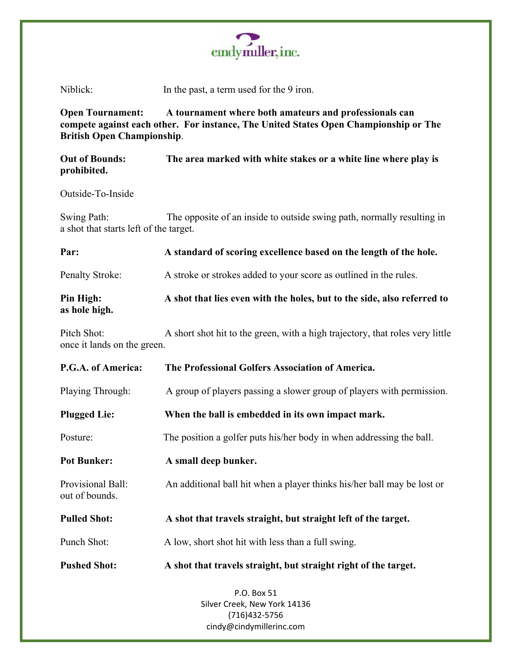

Niblick: In the past, a term used for the 9 iron.

**Open Tournament: A tournament where both amateurs and professionals can compete against each other. For instance, The United States Open Championship or The British Open Championship**.

**Out of Bounds: The area marked with white stakes or a white line where play is prohibited.**

Outside-To-Inside

Swing Path: The opposite of an inside to outside swing path, normally resulting in a shot that starts left of the target.

**Par: A standard of scoring excellence based on the length of the hole.** Penalty Stroke: A stroke or strokes added to your score as outlined in the rules.

**Pin High: A shot that lies even with the holes, but to the side, also referred to as hole high.**

Pitch Shot: A short shot hit to the green, with a high trajectory, that roles very little once it lands on the green.

| P.G.A. of America:                  | The Professional Golfers Association of America.                        |
|-------------------------------------|-------------------------------------------------------------------------|
| Playing Through:                    | A group of players passing a slower group of players with permission.   |
| <b>Plugged Lie:</b>                 | When the ball is embedded in its own impact mark.                       |
| Posture:                            | The position a golfer puts his/her body in when addressing the ball.    |
| <b>Pot Bunker:</b>                  | A small deep bunker.                                                    |
| Provisional Ball:<br>out of bounds. | An additional ball hit when a player thinks his/her ball may be lost or |
| <b>Pulled Shot:</b>                 | A shot that travels straight, but straight left of the target.          |
| Punch Shot:                         | A low, short shot hit with less than a full swing.                      |
| <b>Pushed Shot:</b>                 | A shot that travels straight, but straight right of the target.         |
|                                     | P.O. Box 51                                                             |
|                                     | Silver Creek, New York 14136<br>$1716$ $1137$ $E7E6$                    |

(716)432-5756 cindy@cindymillerinc.com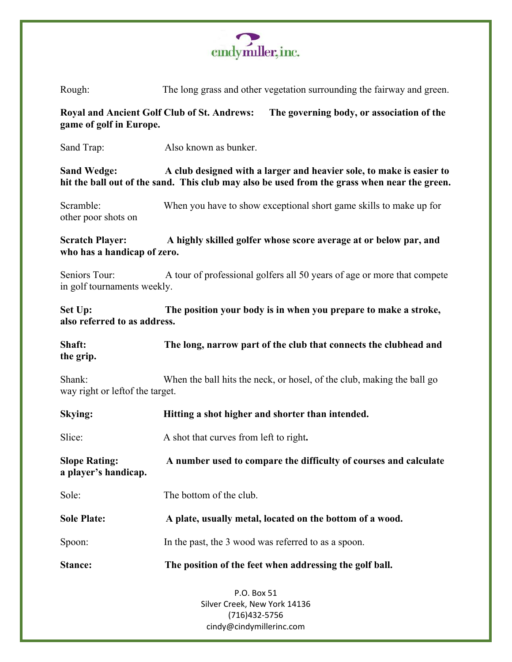

P.O. Box 51 Silver Creek, New York 14136 Rough: The long grass and other vegetation surrounding the fairway and green. **Royal and Ancient Golf Club of St. Andrews: The governing body, or association of the game of golf in Europe.** Sand Trap: Also known as bunker. **Sand Wedge: A club designed with a larger and heavier sole, to make is easier to hit the ball out of the sand. This club may also be used from the grass when near the green.** Scramble: When you have to show exceptional short game skills to make up for other poor shots on **Scratch Player: A highly skilled golfer whose score average at or below par, and who has a handicap of zero.** Seniors Tour: A tour of professional golfers all 50 years of age or more that compete in golf tournaments weekly. **Set Up: The position your body is in when you prepare to make a stroke, also referred to as address. Shaft: The long, narrow part of the club that connects the clubhead and the grip.** Shank: When the ball hits the neck, or hosel, of the club, making the ball go way right or leftof the target. **Skying: Hitting a shot higher and shorter than intended.** Slice: A shot that curves from left to right. **Slope Rating: A number used to compare the difficulty of courses and calculate a player's handicap.** Sole: The bottom of the club. **Sole Plate: A plate, usually metal, located on the bottom of a wood.** Spoon: In the past, the 3 wood was referred to as a spoon. **Stance: The position of the feet when addressing the golf ball.**

(716)432-5756 cindy@cindymillerinc.com